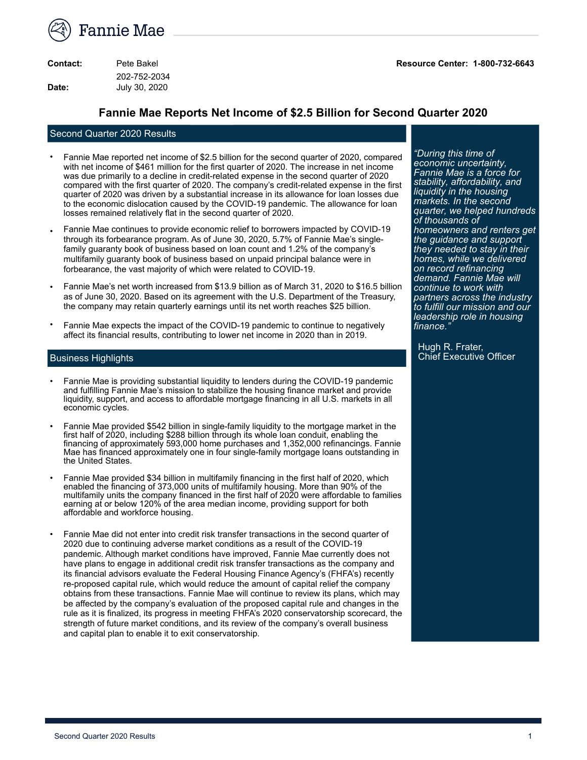

| Contact: | Pete Bakel    |
|----------|---------------|
|          | 202-752-2034  |
| Date:    | July 30, 2020 |

**Contact:** Pete Bakel **Resource Center: 1-800-732-6643**

### **Fannie Mae Reports Net Income of \$2.5 Billion for Second Quarter 2020**

#### Second Quarter 2020 Results

- Fannie Mae reported net income of \$2.5 billion for the second quarter of 2020, compared with net income of \$461 million for the first quarter of 2020. The increase in net income was due primarily to a decline in credit-related expense in the second quarter of 2020 compared with the first quarter of 2020. The company's credit-related expense in the first quarter of 2020 was driven by a substantial increase in its allowance for loan losses due to the economic dislocation caused by the COVID-19 pandemic. The allowance for loan losses remained relatively flat in the second quarter of 2020.
- Fannie Mae continues to provide economic relief to borrowers impacted by COVID-19 through its forbearance program. As of June 30, 2020, 5.7% of Fannie Mae's singlefamily guaranty book of business based on loan count and 1.2% of the company's multifamily guaranty book of business based on unpaid principal balance were in forbearance, the vast majority of which were related to COVID-19.
- Fannie Mae's net worth increased from \$13.9 billion as of March 31, 2020 to \$16.5 billion as of June 30, 2020. Based on its agreement with the U.S. Department of the Treasury, the company may retain quarterly earnings until its net worth reaches \$25 billion.
- Fannie Mae expects the impact of the COVID-19 pandemic to continue to negatively affect its financial results, contributing to lower net income in 2020 than in 2019.

#### Business Highlights

- Fannie Mae is providing substantial liquidity to lenders during the COVID-19 pandemic and fulfilling Fannie Mae's mission to stabilize the housing finance market and provide liquidity, support, and access to affordable mortgage financing in all U.S. markets in all economic cycles.
- Fannie Mae provided \$542 billion in single-family liquidity to the mortgage market in the first half of 2020, including \$288 billion through its whole loan conduit, enabling the financing of approximately 593,000 home purchases and 1,352,000 refinancings. Fannie Mae has financed approximately one in four single-family mortgage loans outstanding in the United States.
- Fannie Mae provided \$34 billion in multifamily financing in the first half of 2020, which enabled the financing of 373,000 units of multifamily housing. More than 90% of the multifamily units the company financed in the first half of 2020 were affordable to families earning at or below 120% of the area median income, providing support for both affordable and workforce housing.
- Fannie Mae did not enter into credit risk transfer transactions in the second quarter of 2020 due to continuing adverse market conditions as a result of the COVID-19 pandemic. Although market conditions have improved, Fannie Mae currently does not have plans to engage in additional credit risk transfer transactions as the company and its financial advisors evaluate the Federal Housing Finance Agency's (FHFA's) recently re-proposed capital rule, which would reduce the amount of capital relief the company obtains from these transactions. Fannie Mae will continue to review its plans, which may be affected by the company's evaluation of the proposed capital rule and changes in the rule as it is finalized, its progress in meeting FHFA's 2020 conservatorship scorecard, the strength of future market conditions, and its review of the company's overall business and capital plan to enable it to exit conservatorship.

*"During this time of economic uncertainty, Fannie Mae is a force for stability, affordability, and liquidity in the housing markets. In the second quarter, we helped hundreds of thousands of homeowners and renters get the guidance and support they needed to stay in their homes, while we delivered on record refinancing demand. Fannie Mae will continue to work with partners across the industry to fulfill our mission and our leadership role in housing finance."*

Hugh R. Frater, Chief Executive Officer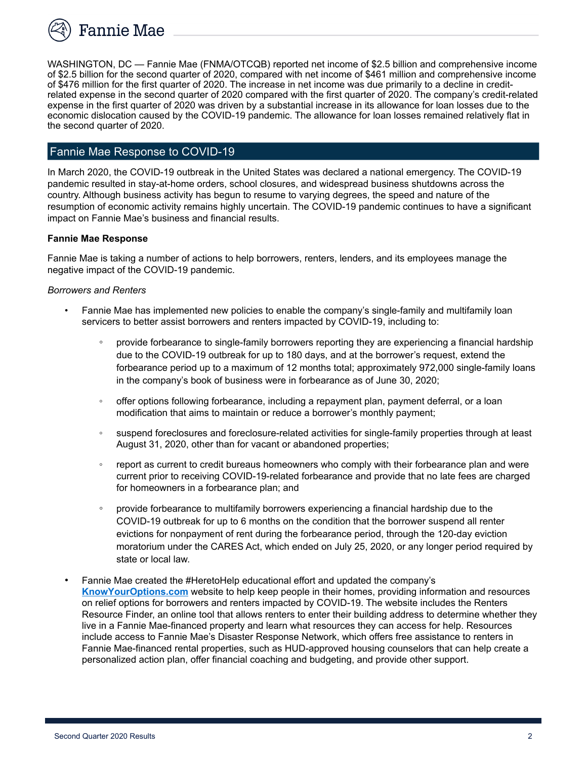

WASHINGTON, DC — Fannie Mae (FNMA/OTCQB) reported net income of \$2.5 billion and comprehensive income of \$2.5 billion for the second quarter of 2020, compared with net income of \$461 million and comprehensive income of \$476 million for the first quarter of 2020. The increase in net income was due primarily to a decline in creditrelated expense in the second quarter of 2020 compared with the first quarter of 2020. The company's credit-related expense in the first quarter of 2020 was driven by a substantial increase in its allowance for loan losses due to the economic dislocation caused by the COVID-19 pandemic. The allowance for loan losses remained relatively flat in the second quarter of 2020.

## Fannie Mae Response to COVID-19

In March 2020, the COVID-19 outbreak in the United States was declared a national emergency. The COVID-19 pandemic resulted in stay-at-home orders, school closures, and widespread business shutdowns across the country. Although business activity has begun to resume to varying degrees, the speed and nature of the resumption of economic activity remains highly uncertain. The COVID-19 pandemic continues to have a significant impact on Fannie Mae's business and financial results.

#### **Fannie Mae Response**

Fannie Mae is taking a number of actions to help borrowers, renters, lenders, and its employees manage the negative impact of the COVID-19 pandemic.

#### *Borrowers and Renters*

- *•* Fannie Mae has implemented new policies to enable the company's single-family and multifamily loan servicers to better assist borrowers and renters impacted by COVID-19, including to:
	- provide forbearance to single-family borrowers reporting they are experiencing a financial hardship due to the COVID-19 outbreak for up to 180 days, and at the borrower's request, extend the forbearance period up to a maximum of 12 months total; approximately 972,000 single-family loans in the company's book of business were in forbearance as of June 30, 2020;
	- offer options following forbearance, including a repayment plan, payment deferral, or a loan modification that aims to maintain or reduce a borrower's monthly payment;
	- suspend foreclosures and foreclosure-related activities for single-family properties through at least August 31, 2020, other than for vacant or abandoned properties;
	- report as current to credit bureaus homeowners who comply with their forbearance plan and were current prior to receiving COVID-19-related forbearance and provide that no late fees are charged for homeowners in a forbearance plan; and
	- provide forbearance to multifamily borrowers experiencing a financial hardship due to the COVID-19 outbreak for up to 6 months on the condition that the borrower suspend all renter evictions for nonpayment of rent during the forbearance period, through the 120-day eviction moratorium under the CARES Act, which ended on July 25, 2020, or any longer period required by state or local law.
- Fannie Mae created the #HeretoHelp educational effort and updated the company's **KnowYourOptions.com** website to help keep people in their homes, providing information and resources on relief options for borrowers and renters impacted by COVID-19. The website includes the Renters Resource Finder, an online tool that allows renters to enter their building address to determine whether they live in a Fannie Mae-financed property and learn what resources they can access for help. Resources include access to Fannie Mae's Disaster Response Network, which offers free assistance to renters in Fannie Mae-financed rental properties, such as HUD-approved housing counselors that can help create a personalized action plan, offer financial coaching and budgeting, and provide other support.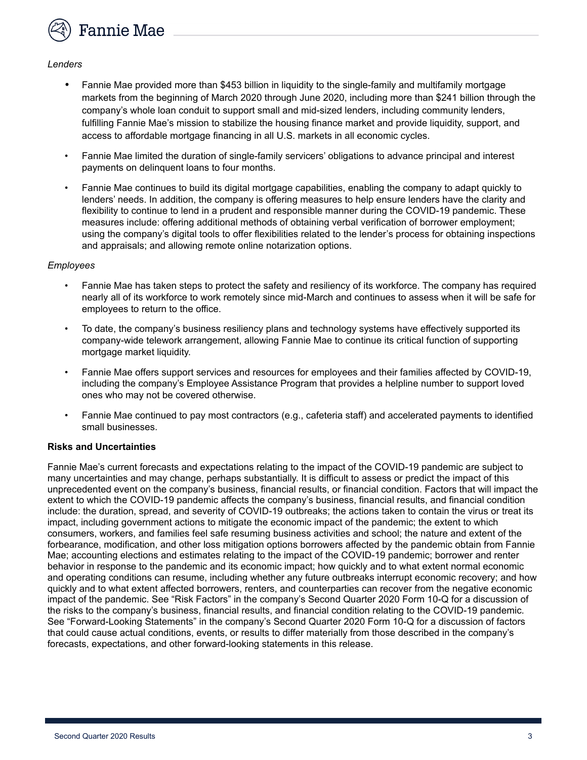Fannie Mae

#### *Lenders*

- *•* Fannie Mae provided more than \$453 billion in liquidity to the single-family and multifamily mortgage markets from the beginning of March 2020 through June 2020, including more than \$241 billion through the company's whole loan conduit to support small and mid-sized lenders, including community lenders, fulfilling Fannie Mae's mission to stabilize the housing finance market and provide liquidity, support, and access to affordable mortgage financing in all U.S. markets in all economic cycles.
- Fannie Mae limited the duration of single-family servicers' obligations to advance principal and interest payments on delinquent loans to four months.
- Fannie Mae continues to build its digital mortgage capabilities, enabling the company to adapt quickly to lenders' needs. In addition, the company is offering measures to help ensure lenders have the clarity and flexibility to continue to lend in a prudent and responsible manner during the COVID-19 pandemic. These measures include: offering additional methods of obtaining verbal verification of borrower employment; using the company's digital tools to offer flexibilities related to the lender's process for obtaining inspections and appraisals; and allowing remote online notarization options.

#### *Employees*

- *•* Fannie Mae has taken steps to protect the safety and resiliency of its workforce. The company has required nearly all of its workforce to work remotely since mid-March and continues to assess when it will be safe for employees to return to the office.
- To date, the company's business resiliency plans and technology systems have effectively supported its company-wide telework arrangement, allowing Fannie Mae to continue its critical function of supporting mortgage market liquidity.
- Fannie Mae offers support services and resources for employees and their families affected by COVID-19, including the company's Employee Assistance Program that provides a helpline number to support loved ones who may not be covered otherwise.
- Fannie Mae continued to pay most contractors (e.g., cafeteria staff) and accelerated payments to identified small businesses.

#### **Risks and Uncertainties**

Fannie Mae's current forecasts and expectations relating to the impact of the COVID-19 pandemic are subject to many uncertainties and may change, perhaps substantially. It is difficult to assess or predict the impact of this unprecedented event on the company's business, financial results, or financial condition. Factors that will impact the extent to which the COVID-19 pandemic affects the company's business, financial results, and financial condition include: the duration, spread, and severity of COVID-19 outbreaks; the actions taken to contain the virus or treat its impact, including government actions to mitigate the economic impact of the pandemic; the extent to which consumers, workers, and families feel safe resuming business activities and school; the nature and extent of the forbearance, modification, and other loss mitigation options borrowers affected by the pandemic obtain from Fannie Mae; accounting elections and estimates relating to the impact of the COVID-19 pandemic; borrower and renter behavior in response to the pandemic and its economic impact; how quickly and to what extent normal economic and operating conditions can resume, including whether any future outbreaks interrupt economic recovery; and how quickly and to what extent affected borrowers, renters, and counterparties can recover from the negative economic impact of the pandemic. See "Risk Factors" in the company's Second Quarter 2020 Form 10-Q for a discussion of the risks to the company's business, financial results, and financial condition relating to the COVID-19 pandemic. See "Forward-Looking Statements" in the company's Second Quarter 2020 Form 10-Q for a discussion of factors that could cause actual conditions, events, or results to differ materially from those described in the company's forecasts, expectations, and other forward-looking statements in this release.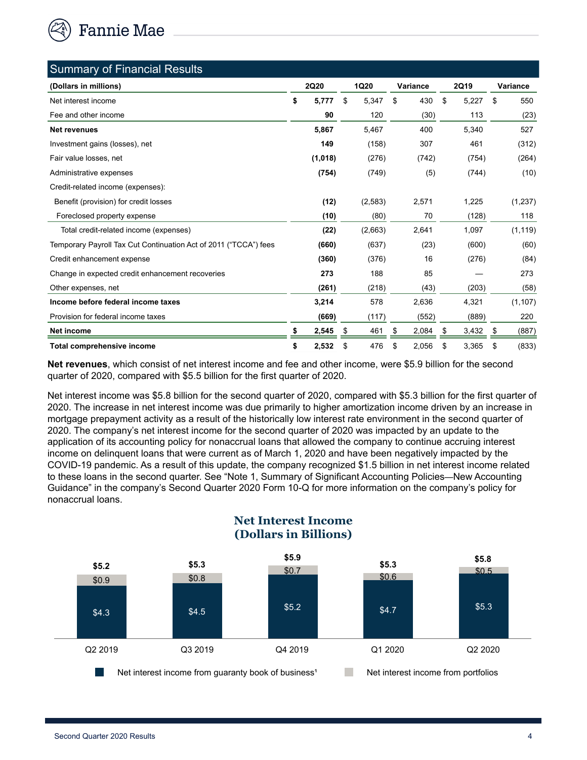

| <b>Summary of Financial Results</b>                              |                   |    |             |    |          |    |             |             |
|------------------------------------------------------------------|-------------------|----|-------------|----|----------|----|-------------|-------------|
| (Dollars in millions)                                            | <b>2Q20</b>       |    | <b>1Q20</b> |    | Variance |    | <b>2Q19</b> | Variance    |
| Net interest income                                              | \$<br>5,777<br>\$ |    | 5,347       | \$ | 430      | \$ | 5,227       | \$<br>550   |
| Fee and other income                                             | 90                |    | 120         |    | (30)     |    | 113         | (23)        |
| Net revenues                                                     | 5,867             |    | 5,467       |    | 400      |    | 5,340       | 527         |
| Investment gains (losses), net                                   | 149               |    | (158)       |    | 307      |    | 461         | (312)       |
| Fair value losses, net                                           | (1,018)           |    | (276)       |    | (742)    |    | (754)       | (264)       |
| Administrative expenses                                          | (754)             |    | (749)       |    | (5)      |    | (744)       | (10)        |
| Credit-related income (expenses):                                |                   |    |             |    |          |    |             |             |
| Benefit (provision) for credit losses                            | (12)              |    | (2,583)     |    | 2,571    |    | 1,225       | (1,237)     |
| Foreclosed property expense                                      | (10)              |    | (80)        |    | 70       |    | (128)       | 118         |
| Total credit-related income (expenses)                           | (22)              |    | (2,663)     |    | 2,641    |    | 1,097       | (1, 119)    |
| Temporary Payroll Tax Cut Continuation Act of 2011 ("TCCA") fees | (660)             |    | (637)       |    | (23)     |    | (600)       | (60)        |
| Credit enhancement expense                                       | (360)             |    | (376)       |    | 16       |    | (276)       | (84)        |
| Change in expected credit enhancement recoveries                 | 273               |    | 188         |    | 85       |    |             | 273         |
| Other expenses, net                                              | (261)             |    | (218)       |    | (43)     |    | (203)       | (58)        |
| Income before federal income taxes                               | 3,214             |    | 578         |    | 2,636    |    | 4,321       | (1, 107)    |
| Provision for federal income taxes                               | (669)             |    | (117)       |    | (552)    |    | (889)       | 220         |
| Net income                                                       | 2,545             | \$ | 461         | S  | 2,084    | \$ | 3,432       | \$<br>(887) |
| <b>Total comprehensive income</b>                                | \$<br>2,532       | \$ | 476         | \$ | 2,056    | \$ | 3,365       | \$<br>(833) |

**Net revenues**, which consist of net interest income and fee and other income, were \$5.9 billion for the second quarter of 2020, compared with \$5.5 billion for the first quarter of 2020.

Net interest income was \$5.8 billion for the second quarter of 2020, compared with \$5.3 billion for the first quarter of 2020. The increase in net interest income was due primarily to higher amortization income driven by an increase in mortgage prepayment activity as a result of the historically low interest rate environment in the second quarter of 2020. The company's net interest income for the second quarter of 2020 was impacted by an update to the application of its accounting policy for nonaccrual loans that allowed the company to continue accruing interest income on delinquent loans that were current as of March 1, 2020 and have been negatively impacted by the COVID-19 pandemic. As a result of this update, the company recognized \$1.5 billion in net interest income related to these loans in the second quarter. See "Note 1, Summary of Significant Accounting Policies—New Accounting Guidance" in the company's Second Quarter 2020 Form 10-Q for more information on the company's policy for nonaccrual loans.



## **Net Interest Income (Dollars in Billions)**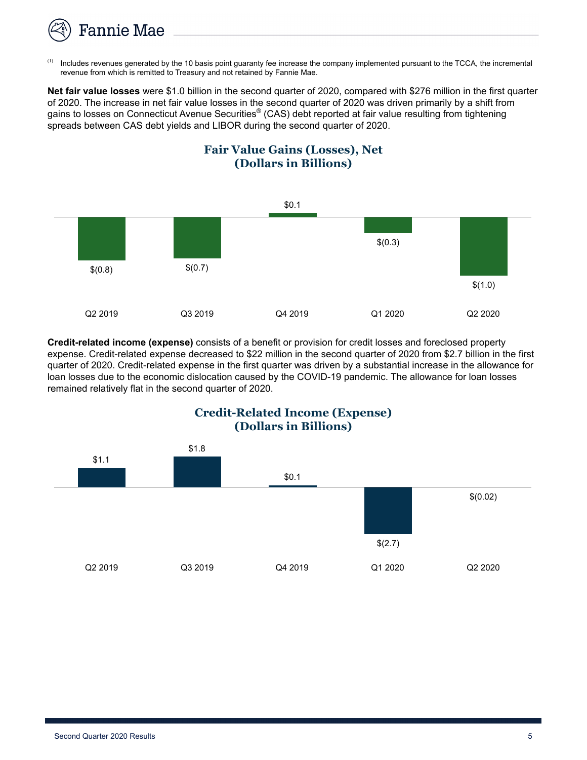

<sup>(1)</sup> Includes revenues generated by the 10 basis point guaranty fee increase the company implemented pursuant to the TCCA, the incremental revenue from which is remitted to Treasury and not retained by Fannie Mae.

**Net fair value losses** were \$1.0 billion in the second quarter of 2020, compared with \$276 million in the first quarter of 2020. The increase in net fair value losses in the second quarter of 2020 was driven primarily by a shift from gains to losses on Connecticut Avenue Securities® (CAS) debt reported at fair value resulting from tightening spreads between CAS debt yields and LIBOR during the second quarter of 2020.





**Credit-related income (expense)** consists of a benefit or provision for credit losses and foreclosed property expense. Credit-related expense decreased to \$22 million in the second quarter of 2020 from \$2.7 billion in the first quarter of 2020. Credit-related expense in the first quarter was driven by a substantial increase in the allowance for loan losses due to the economic dislocation caused by the COVID-19 pandemic. The allowance for loan losses remained relatively flat in the second quarter of 2020.



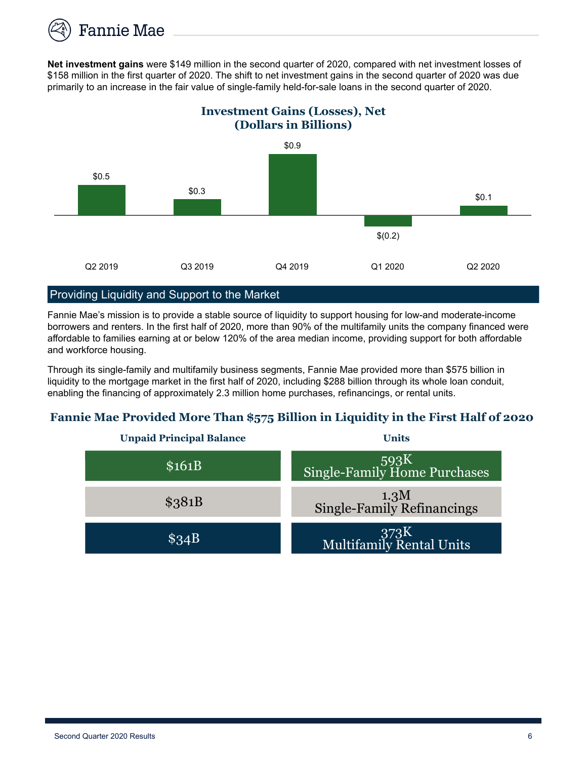

**Net investment gains** were \$149 million in the second quarter of 2020, compared with net investment losses of \$158 million in the first quarter of 2020. The shift to net investment gains in the second quarter of 2020 was due primarily to an increase in the fair value of single-family held-for-sale loans in the second quarter of 2020.

## **Investment Gains (Losses), Net (Dollars in Billions)**



## Providing Liquidity and Support to the Market

Fannie Mae's mission is to provide a stable source of liquidity to support housing for low-and moderate-income borrowers and renters. In the first half of 2020, more than 90% of the multifamily units the company financed were affordable to families earning at or below 120% of the area median income, providing support for both affordable and workforce housing.

Through its single-family and multifamily business segments, Fannie Mae provided more than \$575 billion in liquidity to the mortgage market in the first half of 2020, including \$288 billion through its whole loan conduit, enabling the financing of approximately 2.3 million home purchases, refinancings, or rental units.

## **Fannie Mae Provided More Than \$575 Billion in Liquidity in the First Half of 2020**

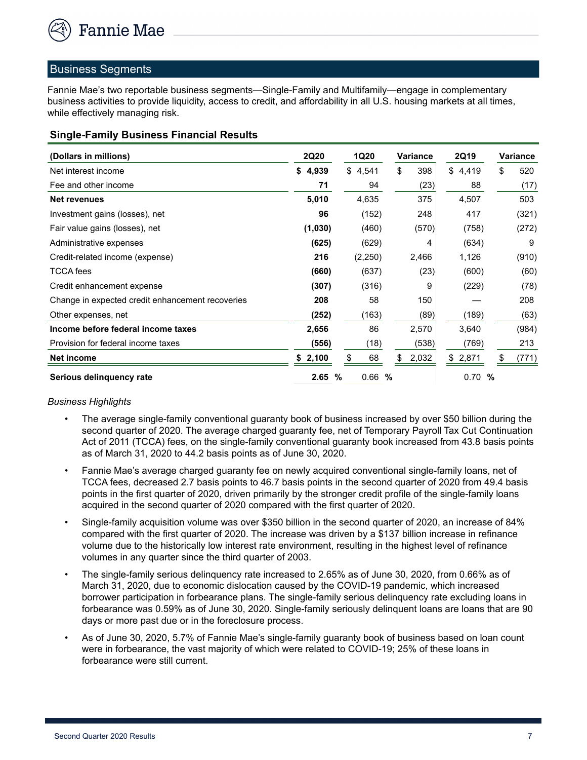

#### Business Segments

Fannie Mae's two reportable business segments—Single-Family and Multifamily—engage in complementary business activities to provide liquidity, access to credit, and affordability in all U.S. housing markets at all times, while effectively managing risk.

| <b>Single-Family Business Financial Results</b> |  |  |
|-------------------------------------------------|--|--|
|                                                 |  |  |

| (Dollars in millions)                            | <b>2Q20</b> | 1Q20      | <b>Variance</b> | 2Q19        | Variance    |
|--------------------------------------------------|-------------|-----------|-----------------|-------------|-------------|
| Net interest income                              | \$4,939     | \$4,541   | \$<br>398       | \$<br>4,419 | \$<br>520   |
| Fee and other income                             | 71          | 94        | (23)            | 88          | (17)        |
| <b>Net revenues</b>                              | 5,010       | 4,635     | 375             | 4,507       | 503         |
| Investment gains (losses), net                   | 96          | (152)     | 248             | 417         | (321)       |
| Fair value gains (losses), net                   | (1,030)     | (460)     | (570)           | (758)       | (272)       |
| Administrative expenses                          | (625)       | (629)     | 4               | (634)       | 9           |
| Credit-related income (expense)                  | 216         | (2,250)   | 2,466           | 1,126       | (910)       |
| <b>TCCA</b> fees                                 | (660)       | (637)     | (23)            | (600)       | (60)        |
| Credit enhancement expense                       | (307)       | (316)     | 9               | (229)       | (78)        |
| Change in expected credit enhancement recoveries | 208         | 58        | 150             |             | 208         |
| Other expenses, net                              | (252)       | (163)     | (89)            | (189)       | (63)        |
| Income before federal income taxes               | 2,656       | 86        | 2,570           | 3,640       | (984)       |
| Provision for federal income taxes               | (556)       | (18)      | (538)           | (769)       | 213         |
| <b>Net income</b>                                | \$2,100     | \$<br>68  | 2,032<br>\$     | \$2,871     | (771)<br>\$ |
| Serious delinguency rate                         | 2.65<br>%   | 0.66<br>% |                 | 0.70<br>%   |             |

#### *Business Highlights*

- *•* The average single-family conventional guaranty book of business increased by over \$50 billion during the second quarter of 2020. The average charged guaranty fee, net of Temporary Payroll Tax Cut Continuation Act of 2011 (TCCA) fees, on the single-family conventional guaranty book increased from 43.8 basis points as of March 31, 2020 to 44.2 basis points as of June 30, 2020.
- Fannie Mae's average charged guaranty fee on newly acquired conventional single-family loans, net of TCCA fees, decreased 2.7 basis points to 46.7 basis points in the second quarter of 2020 from 49.4 basis points in the first quarter of 2020, driven primarily by the stronger credit profile of the single-family loans acquired in the second quarter of 2020 compared with the first quarter of 2020.
- Single-family acquisition volume was over \$350 billion in the second quarter of 2020, an increase of 84% compared with the first quarter of 2020. The increase was driven by a \$137 billion increase in refinance volume due to the historically low interest rate environment, resulting in the highest level of refinance volumes in any quarter since the third quarter of 2003.
- The single-family serious delinquency rate increased to 2.65% as of June 30, 2020, from 0.66% as of March 31, 2020, due to economic dislocation caused by the COVID-19 pandemic, which increased borrower participation in forbearance plans. The single-family serious delinquency rate excluding loans in forbearance was 0.59% as of June 30, 2020. Single-family seriously delinquent loans are loans that are 90 days or more past due or in the foreclosure process.
- As of June 30, 2020, 5.7% of Fannie Mae's single-family guaranty book of business based on loan count were in forbearance, the vast majority of which were related to COVID-19; 25% of these loans in forbearance were still current.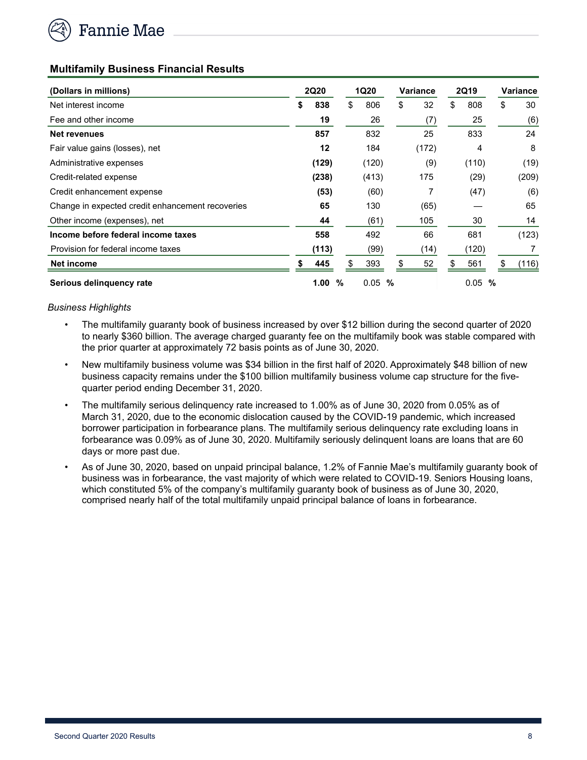

#### **Multifamily Business Financial Results**

| (Dollars in millions)                            |     | <b>2Q20</b> |    | <b>1Q20</b> | <b>Variance</b> |       | 2Q19 |           | Variance |       |
|--------------------------------------------------|-----|-------------|----|-------------|-----------------|-------|------|-----------|----------|-------|
| Net interest income                              | \$  | 838         | \$ | 806         | \$              | 32    | \$   | 808       | \$       | 30    |
| Fee and other income                             |     | 19          |    | 26          |                 | (7)   |      | 25        |          | (6)   |
| Net revenues                                     |     | 857         |    | 832         |                 | 25    |      | 833       |          | 24    |
| Fair value gains (losses), net                   |     | 12          |    | 184         |                 | (172) |      | 4         |          | 8     |
| Administrative expenses                          |     | (129)       |    | (120)       |                 | (9)   |      | (110)     |          | (19)  |
| Credit-related expense                           |     | (238)       |    | (413)       |                 | 175   |      | (29)      |          | (209) |
| Credit enhancement expense                       |     | (53)        |    | (60)        |                 | 7     |      | (47)      |          | (6)   |
| Change in expected credit enhancement recoveries |     | 65          |    | 130         |                 | (65)  |      |           |          | 65    |
| Other income (expenses), net                     |     | 44          |    | (61)        |                 | 105   |      | 30        |          | 14    |
| Income before federal income taxes               |     | 558         |    | 492         |                 | 66    |      | 681       |          | (123) |
| Provision for federal income taxes               |     | (113)       |    | (99)        |                 | (14)  |      | (120)     |          |       |
| Net income                                       | \$. | 445         | \$ | 393         |                 | 52    | \$   | 561       | \$       | (116) |
| Serious delinguency rate                         |     | 1.00        | %  | 0.05        | %               |       |      | 0.05<br>% |          |       |

#### *Business Highlights*

- *•* The multifamily guaranty book of business increased by over \$12 billion during the second quarter of 2020 to nearly \$360 billion. The average charged guaranty fee on the multifamily book was stable compared with the prior quarter at approximately 72 basis points as of June 30, 2020.
- New multifamily business volume was \$34 billion in the first half of 2020. Approximately \$48 billion of new business capacity remains under the \$100 billion multifamily business volume cap structure for the fivequarter period ending December 31, 2020.
- The multifamily serious delinquency rate increased to 1.00% as of June 30, 2020 from 0.05% as of March 31, 2020, due to the economic dislocation caused by the COVID-19 pandemic, which increased borrower participation in forbearance plans. The multifamily serious delinquency rate excluding loans in forbearance was 0.09% as of June 30, 2020. Multifamily seriously delinquent loans are loans that are 60 days or more past due.
- As of June 30, 2020, based on unpaid principal balance, 1.2% of Fannie Mae's multifamily guaranty book of business was in forbearance, the vast majority of which were related to COVID-19. Seniors Housing loans, which constituted 5% of the company's multifamily guaranty book of business as of June 30, 2020, comprised nearly half of the total multifamily unpaid principal balance of loans in forbearance.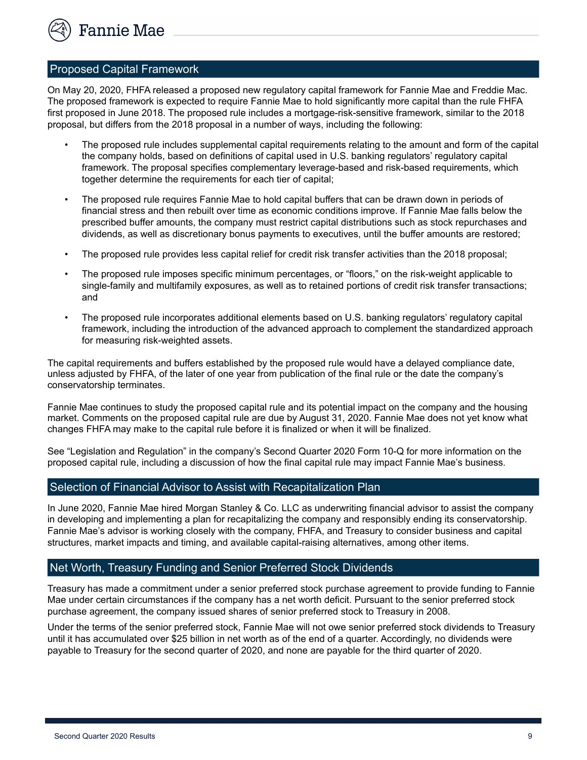

#### Proposed Capital Framework

On May 20, 2020, FHFA released a proposed new regulatory capital framework for Fannie Mae and Freddie Mac. The proposed framework is expected to require Fannie Mae to hold significantly more capital than the rule FHFA first proposed in June 2018. The proposed rule includes a mortgage-risk-sensitive framework, similar to the 2018 proposal, but differs from the 2018 proposal in a number of ways, including the following:

- The proposed rule includes supplemental capital requirements relating to the amount and form of the capital the company holds, based on definitions of capital used in U.S. banking regulators' regulatory capital framework. The proposal specifies complementary leverage-based and risk-based requirements, which together determine the requirements for each tier of capital;
- The proposed rule requires Fannie Mae to hold capital buffers that can be drawn down in periods of financial stress and then rebuilt over time as economic conditions improve. If Fannie Mae falls below the prescribed buffer amounts, the company must restrict capital distributions such as stock repurchases and dividends, as well as discretionary bonus payments to executives, until the buffer amounts are restored;
- The proposed rule provides less capital relief for credit risk transfer activities than the 2018 proposal;
- The proposed rule imposes specific minimum percentages, or "floors," on the risk-weight applicable to single-family and multifamily exposures, as well as to retained portions of credit risk transfer transactions; and
- The proposed rule incorporates additional elements based on U.S. banking regulators' regulatory capital framework, including the introduction of the advanced approach to complement the standardized approach for measuring risk-weighted assets.

The capital requirements and buffers established by the proposed rule would have a delayed compliance date, unless adjusted by FHFA, of the later of one year from publication of the final rule or the date the company's conservatorship terminates.

Fannie Mae continues to study the proposed capital rule and its potential impact on the company and the housing market. Comments on the proposed capital rule are due by August 31, 2020. Fannie Mae does not yet know what changes FHFA may make to the capital rule before it is finalized or when it will be finalized.

See "Legislation and Regulation" in the company's Second Quarter 2020 Form 10-Q for more information on the proposed capital rule, including a discussion of how the final capital rule may impact Fannie Mae's business.

#### Selection of Financial Advisor to Assist with Recapitalization Plan

In June 2020, Fannie Mae hired Morgan Stanley & Co. LLC as underwriting financial advisor to assist the company in developing and implementing a plan for recapitalizing the company and responsibly ending its conservatorship. Fannie Mae's advisor is working closely with the company, FHFA, and Treasury to consider business and capital structures, market impacts and timing, and available capital-raising alternatives, among other items.

#### Net Worth, Treasury Funding and Senior Preferred Stock Dividends

Treasury has made a commitment under a senior preferred stock purchase agreement to provide funding to Fannie Mae under certain circumstances if the company has a net worth deficit. Pursuant to the senior preferred stock purchase agreement, the company issued shares of senior preferred stock to Treasury in 2008.

Under the terms of the senior preferred stock, Fannie Mae will not owe senior preferred stock dividends to Treasury until it has accumulated over \$25 billion in net worth as of the end of a quarter. Accordingly, no dividends were payable to Treasury for the second quarter of 2020, and none are payable for the third quarter of 2020.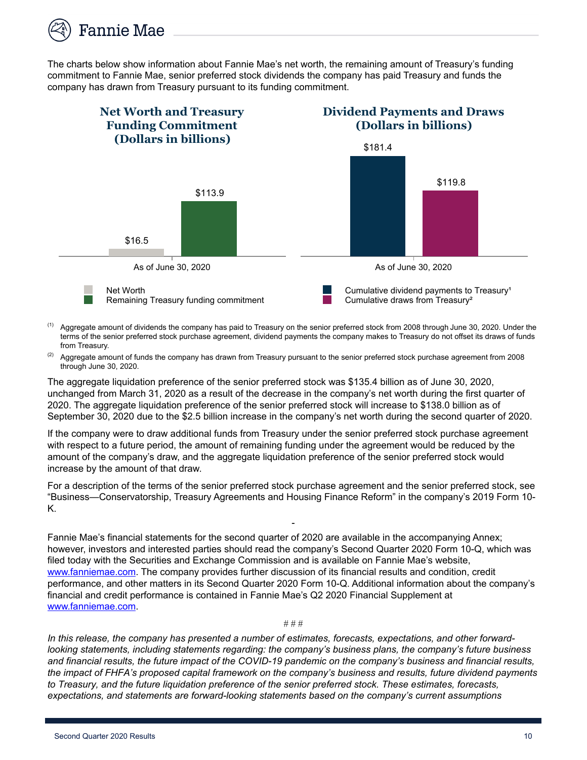

The charts below show information about Fannie Mae's net worth, the remaining amount of Treasury's funding commitment to Fannie Mae, senior preferred stock dividends the company has paid Treasury and funds the company has drawn from Treasury pursuant to its funding commitment.



- $<sup>(1)</sup>$  Aggregate amount of dividends the company has paid to Treasury on the senior preferred stock from 2008 through June 30, 2020. Under the</sup> terms of the senior preferred stock purchase agreement, dividend payments the company makes to Treasury do not offset its draws of funds from Treasury.
- $(2)$  Aggregate amount of funds the company has drawn from Treasury pursuant to the senior preferred stock purchase agreement from 2008 through June 30, 2020.

The aggregate liquidation preference of the senior preferred stock was \$135.4 billion as of June 30, 2020, unchanged from March 31, 2020 as a result of the decrease in the company's net worth during the first quarter of 2020. The aggregate liquidation preference of the senior preferred stock will increase to \$138.0 billion as of September 30, 2020 due to the \$2.5 billion increase in the company's net worth during the second quarter of 2020.

If the company were to draw additional funds from Treasury under the senior preferred stock purchase agreement with respect to a future period, the amount of remaining funding under the agreement would be reduced by the amount of the company's draw, and the aggregate liquidation preference of the senior preferred stock would increase by the amount of that draw.

For a description of the terms of the senior preferred stock purchase agreement and the senior preferred stock, see "Business—Conservatorship, Treasury Agreements and Housing Finance Reform" in the company's 2019 Form 10- K.

-

Fannie Mae's financial statements for the second quarter of 2020 are available in the accompanying Annex; however, investors and interested parties should read the company's Second Quarter 2020 Form 10-Q, which was filed today with the Securities and Exchange Commission and is available on Fannie Mae's website, www.fanniemae.com. The company provides further discussion of its financial results and condition, credit performance, and other matters in its Second Quarter 2020 Form 10-Q. Additional information about the company's financial and credit performance is contained in Fannie Mae's Q2 2020 Financial Supplement at www.fanniemae.com.

# # #

*In this release, the company has presented a number of estimates, forecasts, expectations, and other forwardlooking statements, including statements regarding: the company's business plans, the company's future business and financial results, the future impact of the COVID-19 pandemic on the company's business and financial results, the impact of FHFA's proposed capital framework on the company's business and results, future dividend payments to Treasury, and the future liquidation preference of the senior preferred stock. These estimates, forecasts, expectations, and statements are forward-looking statements based on the company's current assumptions*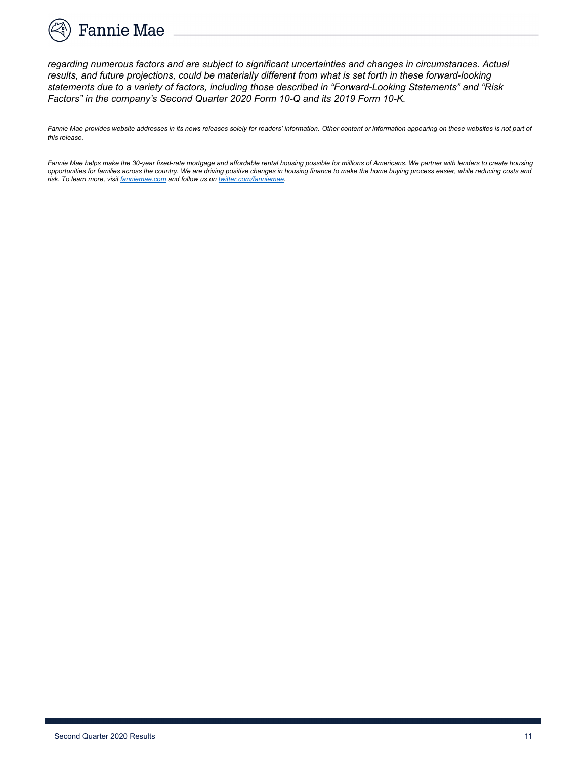

*regarding numerous factors and are subject to significant uncertainties and changes in circumstances. Actual results, and future projections, could be materially different from what is set forth in these forward-looking statements due to a variety of factors, including those described in "Forward-Looking Statements" and "Risk Factors" in the company's Second Quarter 2020 Form 10-Q and its 2019 Form 10-K.*

Fannie Mae provides website addresses in its news releases solely for readers' information. Other content or information appearing on these websites is not part of *this release.* 

Fannie Mae helps make the 30-year fixed-rate mortgage and affordable rental housing possible for millions of Americans. We partner with lenders to create housing *opportunities for families across the country. We are driving positive changes in housing finance to make the home buying process easier, while reducing costs and risk. To learn more, visit fanniemae.com and follow us on twitter.com/fanniemae.*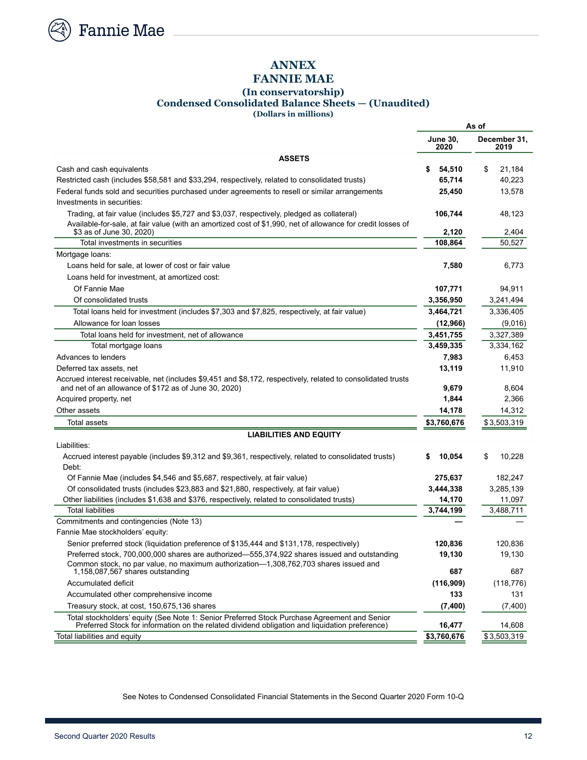

# **ANNEX**

## **FANNIE MAE**

#### **(In conservatorship) Condensed Consolidated Balance Sheets — (Unaudited)**

**(Dollars in millions)**

|                                                                                                                                                                                                           | As of                   |                      |  |  |  |  |
|-----------------------------------------------------------------------------------------------------------------------------------------------------------------------------------------------------------|-------------------------|----------------------|--|--|--|--|
|                                                                                                                                                                                                           | <b>June 30,</b><br>2020 | December 31,<br>2019 |  |  |  |  |
| <b>ASSETS</b>                                                                                                                                                                                             |                         |                      |  |  |  |  |
| Cash and cash equivalents                                                                                                                                                                                 | \$<br>54,510            | \$<br>21,184         |  |  |  |  |
| Restricted cash (includes \$58,581 and \$33,294, respectively, related to consolidated trusts)                                                                                                            | 65,714                  | 40.223               |  |  |  |  |
| Federal funds sold and securities purchased under agreements to resell or similar arrangements<br>Investments in securities:                                                                              | 25,450                  | 13,578               |  |  |  |  |
| Trading, at fair value (includes \$5,727 and \$3,037, respectively, pledged as collateral)<br>Available-for-sale, at fair value (with an amortized cost of \$1,990, net of allowance for credit losses of | 106,744                 | 48,123               |  |  |  |  |
| \$3 as of June 30, 2020)                                                                                                                                                                                  | 2,120                   | 2,404                |  |  |  |  |
| Total investments in securities                                                                                                                                                                           | 108,864                 | 50,527               |  |  |  |  |
| Mortgage loans:                                                                                                                                                                                           |                         |                      |  |  |  |  |
| Loans held for sale, at lower of cost or fair value                                                                                                                                                       | 7,580                   | 6,773                |  |  |  |  |
| Loans held for investment, at amortized cost:                                                                                                                                                             |                         |                      |  |  |  |  |
| Of Fannie Mae                                                                                                                                                                                             | 107,771                 | 94,911               |  |  |  |  |
| Of consolidated trusts                                                                                                                                                                                    | 3,356,950               | 3,241,494            |  |  |  |  |
| Total loans held for investment (includes \$7,303 and \$7,825, respectively, at fair value)                                                                                                               | 3,464,721               | 3,336,405            |  |  |  |  |
| Allowance for loan losses                                                                                                                                                                                 | (12,966)                | (9,016)              |  |  |  |  |
| Total loans held for investment, net of allowance                                                                                                                                                         | 3,451,755               | 3,327,389            |  |  |  |  |
| Total mortgage loans                                                                                                                                                                                      | 3,459,335               | 3,334,162            |  |  |  |  |
| Advances to lenders                                                                                                                                                                                       | 7,983                   | 6,453                |  |  |  |  |
| Deferred tax assets, net                                                                                                                                                                                  | 13,119                  | 11,910               |  |  |  |  |
| Accrued interest receivable, net (includes \$9,451 and \$8,172, respectively, related to consolidated trusts                                                                                              |                         |                      |  |  |  |  |
| and net of an allowance of \$172 as of June 30, 2020)                                                                                                                                                     | 9,679                   | 8,604                |  |  |  |  |
| Acquired property, net                                                                                                                                                                                    | 1,844                   | 2,366                |  |  |  |  |
| Other assets                                                                                                                                                                                              | 14,178                  | 14,312               |  |  |  |  |
| <b>Total assets</b>                                                                                                                                                                                       | \$3,760,676             | \$3,503,319          |  |  |  |  |
| <b>LIABILITIES AND EQUITY</b>                                                                                                                                                                             |                         |                      |  |  |  |  |
| Liabilities:                                                                                                                                                                                              |                         |                      |  |  |  |  |
| Accrued interest payable (includes \$9,312 and \$9,361, respectively, related to consolidated trusts)<br>Debt:                                                                                            | 10,054<br>\$            | \$<br>10,228         |  |  |  |  |
| Of Fannie Mae (includes \$4,546 and \$5,687, respectively, at fair value)                                                                                                                                 | 275,637                 | 182,247              |  |  |  |  |
| Of consolidated trusts (includes \$23,883 and \$21,880, respectively, at fair value)                                                                                                                      | 3,444,338               | 3,285,139            |  |  |  |  |
| Other liabilities (includes \$1,638 and \$376, respectively, related to consolidated trusts)                                                                                                              | 14,170                  | 11,097               |  |  |  |  |
| <b>Total liabilities</b>                                                                                                                                                                                  | 3,744,199               | 3,488,711            |  |  |  |  |
| Commitments and contingencies (Note 13)                                                                                                                                                                   |                         |                      |  |  |  |  |
| Fannie Mae stockholders' equity:                                                                                                                                                                          |                         |                      |  |  |  |  |
| Senior preferred stock (liquidation preference of \$135,444 and \$131,178, respectively)                                                                                                                  | 120,836                 | 120.836              |  |  |  |  |
| Preferred stock, 700,000,000 shares are authorized-555,374,922 shares issued and outstanding<br>Common stock, no par value, no maximum authorization-1,308,762,703 shares issued and                      | 19,130                  | 19,130               |  |  |  |  |
| 1,158,087,567 shares outstanding                                                                                                                                                                          | 687                     | 687                  |  |  |  |  |
| <b>Accumulated deficit</b>                                                                                                                                                                                | (116,909)               | (118, 776)           |  |  |  |  |
| Accumulated other comprehensive income                                                                                                                                                                    | 133                     | 131                  |  |  |  |  |
| Treasury stock, at cost, 150,675,136 shares                                                                                                                                                               | (7,400)                 | (7,400)              |  |  |  |  |
| Total stockholders' equity (See Note 1: Senior Preferred Stock Purchase Agreement and Senior<br>Preferred Stock for information on the related dividend obligation and liquidation preference)            | 16,477                  | 14,608               |  |  |  |  |
| Total liabilities and equity                                                                                                                                                                              | \$3,760,676             | \$3,503,319          |  |  |  |  |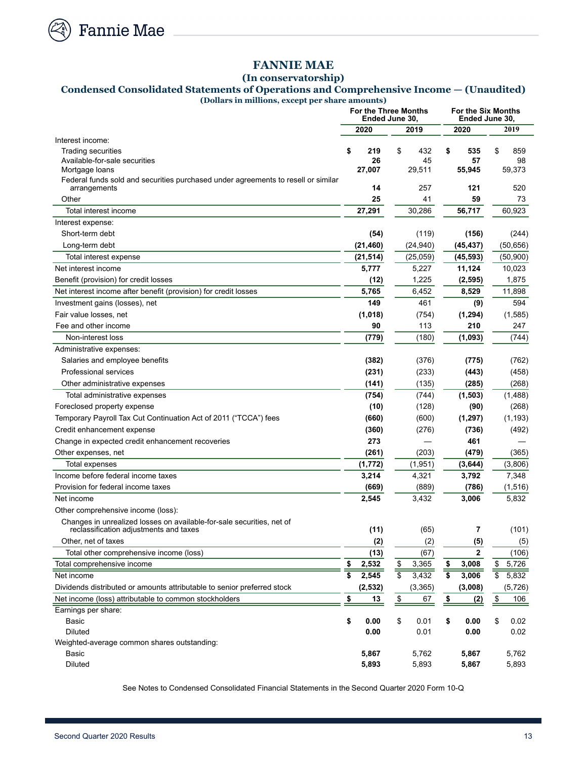

## **FANNIE MAE**

**(In conservatorship)**

## **Condensed Consolidated Statements of Operations and Comprehensive Income — (Unaudited)**

**(Dollars in millions, except per share amounts)**

|                                                                                   |             | Ended June 30,      | <b>For the Three Months</b> | <b>For the Six Months</b><br>Ended June 30, |                          |  |  |  |
|-----------------------------------------------------------------------------------|-------------|---------------------|-----------------------------|---------------------------------------------|--------------------------|--|--|--|
|                                                                                   | 2020        |                     | 2019                        | 2020                                        | 2019                     |  |  |  |
| Interest income:                                                                  |             |                     |                             |                                             |                          |  |  |  |
| <b>Trading securities</b>                                                         | \$          | \$<br>219           | 432                         | \$<br>535                                   | \$<br>859                |  |  |  |
| Available-for-sale securities<br>Mortgage loans                                   | 27,007      | 26                  | 45<br>29,511                | 57<br>55,945                                | 98<br>59,373             |  |  |  |
| Federal funds sold and securities purchased under agreements to resell or similar |             |                     |                             |                                             |                          |  |  |  |
| arrangements                                                                      |             | 14                  | 257                         | 121                                         | 520                      |  |  |  |
| Other                                                                             |             | 25                  | 41                          | 59                                          | 73                       |  |  |  |
| Total interest income                                                             | 27,291      |                     | 30,286                      | 56,717                                      | 60,923                   |  |  |  |
| Interest expense:                                                                 |             |                     |                             |                                             |                          |  |  |  |
| Short-term debt                                                                   |             | (54)                | (119)                       | (156)                                       | (244)                    |  |  |  |
| Long-term debt                                                                    | (21, 460)   |                     | (24, 940)                   | (45, 437)                                   | (50, 656)                |  |  |  |
| Total interest expense                                                            | (21, 514)   |                     | (25,059)                    | (45, 593)                                   | (50,900)                 |  |  |  |
| Net interest income                                                               | 5,777       |                     | 5,227                       | 11,124                                      | 10,023                   |  |  |  |
| Benefit (provision) for credit losses                                             |             | (12)                | 1,225                       | (2, 595)                                    | 1,875                    |  |  |  |
| Net interest income after benefit (provision) for credit losses                   | 5,765       |                     | 6,452                       | 8,529                                       | 11,898                   |  |  |  |
| Investment gains (losses), net                                                    |             | 149                 | 461                         | (9)                                         | 594                      |  |  |  |
| Fair value losses, net                                                            | (1,018)     |                     | (754)                       | (1, 294)                                    | (1,585)                  |  |  |  |
| Fee and other income                                                              |             | 90                  | 113                         | 210                                         | 247                      |  |  |  |
| Non-interest loss                                                                 |             | (779)               | (180)                       | (1,093)                                     | (744)                    |  |  |  |
| Administrative expenses:                                                          |             |                     |                             |                                             |                          |  |  |  |
| Salaries and employee benefits                                                    |             | (382)               | (376)                       | (775)                                       | (762)                    |  |  |  |
| <b>Professional services</b>                                                      |             | (231)               | (233)                       | (443)                                       | (458)                    |  |  |  |
| Other administrative expenses                                                     |             | (141)               | (135)                       | (285)                                       | (268)                    |  |  |  |
| Total administrative expenses                                                     |             | (754)               | (744)                       | (1,503)                                     | (1,488)                  |  |  |  |
| Foreclosed property expense                                                       |             | (10)                | (128)                       | (90)                                        | (268)                    |  |  |  |
| Temporary Payroll Tax Cut Continuation Act of 2011 ("TCCA") fees                  |             | (660)               | (600)                       | (1, 297)                                    | (1, 193)                 |  |  |  |
| Credit enhancement expense                                                        |             | (360)               | (276)                       | (736)                                       | (492)                    |  |  |  |
| Change in expected credit enhancement recoveries                                  |             | 273                 |                             | 461                                         |                          |  |  |  |
| Other expenses, net                                                               |             | (261)               | (203)                       | (479)                                       | (365)                    |  |  |  |
| Total expenses                                                                    | (1, 772)    |                     | (1,951)                     | (3,644)                                     | (3,806)                  |  |  |  |
| Income before federal income taxes                                                | 3,214       |                     | 4,321                       | 3,792                                       | 7,348                    |  |  |  |
| Provision for federal income taxes                                                |             | (669)               | (889)                       | (786)                                       | (1, 516)                 |  |  |  |
| Net income                                                                        | 2,545       |                     | 3,432                       | 3,006                                       | 5,832                    |  |  |  |
| Other comprehensive income (loss):                                                |             |                     |                             |                                             |                          |  |  |  |
| Changes in unrealized losses on available-for-sale securities, net of             |             |                     | (65)                        | 7                                           |                          |  |  |  |
| reclassification adjustments and taxes<br>Other, net of taxes                     |             | (11)                | (2)                         |                                             | (101)                    |  |  |  |
| Total other comprehensive income (loss)                                           |             | (2)<br>(13)         | (67)                        | (5)<br>$\mathbf{2}$                         | (5)<br>(106)             |  |  |  |
| Total comprehensive income                                                        | \$<br>2,532 | \$                  | 3,365                       | 3,008<br>\$                                 | \$<br>5,726              |  |  |  |
| Net income                                                                        | \$<br>2,545 |                     | 3,432                       | \$<br>3,006                                 | $\overline{\$}$<br>5,832 |  |  |  |
| Dividends distributed or amounts attributable to senior preferred stock           | (2, 532)    |                     | (3, 365)                    | (3,008)                                     | (5, 726)                 |  |  |  |
| Net income (loss) attributable to common stockholders                             | \$          | $\frac{\$}{}$<br>13 | 67                          | $\frac{\$}{}$<br><u>(2)</u>                 | $\frac{1}{2}$<br>106     |  |  |  |
| Earnings per share:                                                               |             |                     |                             |                                             |                          |  |  |  |
| Basic                                                                             | \$<br>0.00  | \$                  | 0.01                        | \$<br>0.00                                  | \$<br>0.02               |  |  |  |
| Diluted                                                                           |             | 0.00                | 0.01                        | 0.00                                        | 0.02                     |  |  |  |
| Weighted-average common shares outstanding:                                       |             |                     |                             |                                             |                          |  |  |  |
| Basic                                                                             | 5,867       |                     | 5,762                       | 5,867                                       | 5,762                    |  |  |  |
| <b>Diluted</b>                                                                    | 5,893       |                     | 5,893                       | 5,867                                       | 5,893                    |  |  |  |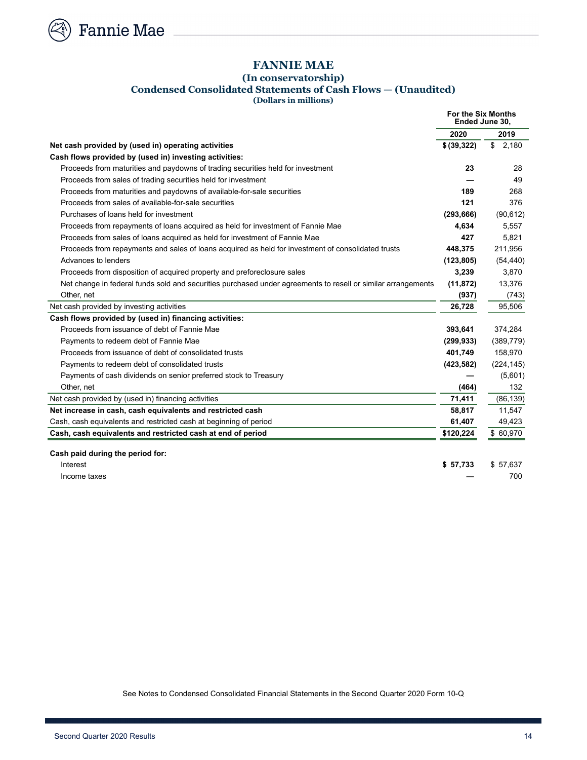

**Fannie Mae** 

## **FANNIE MAE**

#### **(In conservatorship) Condensed Consolidated Statements of Cash Flows — (Unaudited) (Dollars in millions)**

|                                                                                                              | For the Six Months<br>Ended June 30. |             |
|--------------------------------------------------------------------------------------------------------------|--------------------------------------|-------------|
|                                                                                                              | 2020                                 | 2019        |
| Net cash provided by (used in) operating activities                                                          | \$ (39, 322)                         | \$<br>2,180 |
| Cash flows provided by (used in) investing activities:                                                       |                                      |             |
| Proceeds from maturities and paydowns of trading securities held for investment                              | 23                                   | 28          |
| Proceeds from sales of trading securities held for investment                                                |                                      | 49          |
| Proceeds from maturities and paydowns of available-for-sale securities                                       | 189                                  | 268         |
| Proceeds from sales of available-for-sale securities                                                         | 121                                  | 376         |
| Purchases of loans held for investment                                                                       | (293, 666)                           | (90, 612)   |
| Proceeds from repayments of loans acquired as held for investment of Fannie Mae                              | 4,634                                | 5,557       |
| Proceeds from sales of loans acquired as held for investment of Fannie Mae                                   | 427                                  | 5,821       |
| Proceeds from repayments and sales of loans acquired as held for investment of consolidated trusts           | 448.375                              | 211,956     |
| Advances to lenders                                                                                          | (123, 805)                           | (54, 440)   |
| Proceeds from disposition of acquired property and preforeclosure sales                                      | 3,239                                | 3,870       |
| Net change in federal funds sold and securities purchased under agreements to resell or similar arrangements | (11, 872)                            | 13,376      |
| Other, net                                                                                                   | (937)                                | (743)       |
| Net cash provided by investing activities                                                                    | 26,728                               | 95,506      |
| Cash flows provided by (used in) financing activities:                                                       |                                      |             |
| Proceeds from issuance of debt of Fannie Mae                                                                 | 393,641                              | 374,284     |
| Payments to redeem debt of Fannie Mae                                                                        | (299, 933)                           | (389, 779)  |
| Proceeds from issuance of debt of consolidated trusts                                                        | 401,749                              | 158,970     |
| Payments to redeem debt of consolidated trusts                                                               | (423, 582)                           | (224, 145)  |
| Payments of cash dividends on senior preferred stock to Treasury                                             |                                      | (5,601)     |
| Other, net                                                                                                   | (464)                                | 132         |
| Net cash provided by (used in) financing activities                                                          | 71,411                               | (86, 139)   |
| Net increase in cash, cash equivalents and restricted cash                                                   | 58,817                               | 11,547      |
| Cash, cash equivalents and restricted cash at beginning of period                                            | 61,407                               | 49,423      |
| Cash, cash equivalents and restricted cash at end of period                                                  | \$120,224                            | \$60,970    |
|                                                                                                              |                                      |             |
| Cash paid during the period for:                                                                             |                                      |             |
| Interest                                                                                                     | \$57,733                             | \$57,637    |
| Income taxes                                                                                                 |                                      | 700         |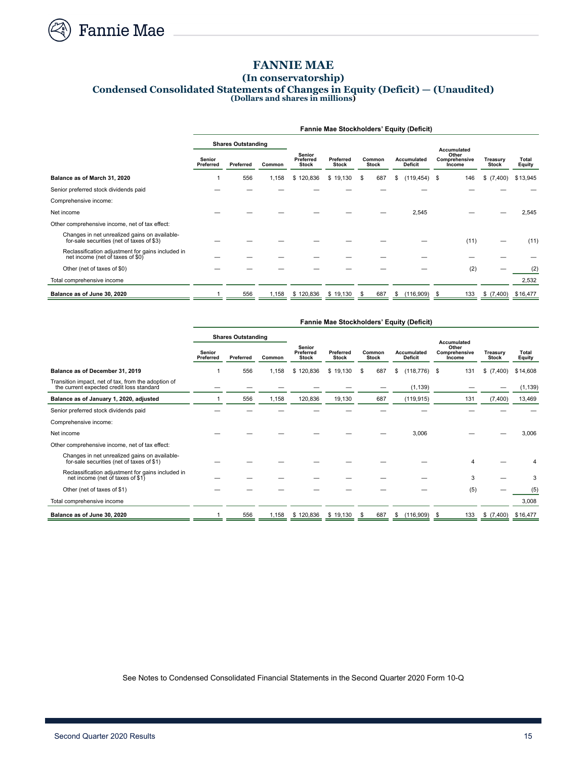

## **FANNIE MAE**

#### **(In conservatorship) Condensed Consolidated Statements of Changes in Equity (Deficit) — (Unaudited) (Dollars and shares in millions)**

|                                                                                            | <b>Fannie Mae Stockholders' Equity (Deficit)</b> |                                                            |       |                                  |                        |           |    |                                  |      |                          |                 |          |  |  |
|--------------------------------------------------------------------------------------------|--------------------------------------------------|------------------------------------------------------------|-------|----------------------------------|------------------------|-----------|----|----------------------------------|------|--------------------------|-----------------|----------|--|--|
|                                                                                            | <b>Shares Outstanding</b>                        |                                                            |       |                                  |                        |           |    |                                  |      | <b>Accumulated</b>       |                 |          |  |  |
|                                                                                            | <b>Senior</b><br>Preferred                       | Senior<br>Preferred<br>Preferred<br>Common<br><b>Stock</b> |       | <b>Preferred</b><br><b>Stock</b> | Common<br><b>Stock</b> |           |    | Other<br>Comprehensive<br>Income |      | Treasury<br><b>Stock</b> | Total<br>Equity |          |  |  |
| Balance as of March 31, 2020                                                               |                                                  | 556                                                        | 1,158 | \$120,836                        | \$19,130               | 687<br>\$ | \$ | (119, 454)                       | \$   | 146                      | \$ (7,400)      | \$13,945 |  |  |
| Senior preferred stock dividends paid                                                      |                                                  |                                                            |       |                                  |                        |           |    |                                  |      |                          |                 |          |  |  |
| Comprehensive income:                                                                      |                                                  |                                                            |       |                                  |                        |           |    |                                  |      |                          |                 |          |  |  |
| Net income                                                                                 |                                                  |                                                            |       |                                  |                        |           |    | 2,545                            |      |                          |                 | 2,545    |  |  |
| Other comprehensive income, net of tax effect:                                             |                                                  |                                                            |       |                                  |                        |           |    |                                  |      |                          |                 |          |  |  |
| Changes in net unrealized gains on available-<br>for-sale securities (net of taxes of \$3) |                                                  |                                                            |       |                                  |                        |           |    |                                  |      | (11)                     |                 | (11)     |  |  |
| Reclassification adjustment for gains included in<br>net income (net of taxes of \$0)      |                                                  |                                                            |       |                                  |                        |           |    |                                  |      |                          |                 |          |  |  |
| Other (net of taxes of \$0)                                                                |                                                  |                                                            |       |                                  |                        |           |    |                                  |      | (2)                      |                 | (2)      |  |  |
| Total comprehensive income                                                                 |                                                  |                                                            |       |                                  |                        |           |    |                                  |      |                          |                 | 2,532    |  |  |
| Balance as of June 30, 2020                                                                |                                                  | 556                                                        | 1,158 | \$120,836                        | \$19,130               | 687<br>\$ | \$ | (116,909)                        | - \$ | 133                      | \$ (7,400)      | \$16,477 |  |  |

|                                                                                                  | <b>Fannie Mae Stockholders' Equity (Deficit)</b> |                           |        |                                     |                           |                        |                               |                                         |                          |                 |  |  |  |
|--------------------------------------------------------------------------------------------------|--------------------------------------------------|---------------------------|--------|-------------------------------------|---------------------------|------------------------|-------------------------------|-----------------------------------------|--------------------------|-----------------|--|--|--|
|                                                                                                  |                                                  | <b>Shares Outstanding</b> |        |                                     |                           |                        |                               | <b>Accumulated</b>                      |                          |                 |  |  |  |
|                                                                                                  | <b>Senior</b><br>Preferred                       | Preferred                 | Common | Senior<br>Preferred<br><b>Stock</b> | Preferred<br><b>Stock</b> | Common<br><b>Stock</b> | Accumulated<br><b>Deficit</b> | Other<br><b>Comprehensive</b><br>Income | Treasurv<br><b>Stock</b> | Total<br>Equity |  |  |  |
| Balance as of December 31, 2019                                                                  |                                                  | 556                       | 1,158  | \$120,836                           | \$19,130                  | 687<br>S               | (118, 776)<br>\$              | 131<br>- \$                             | \$ (7,400)               | \$14,608        |  |  |  |
| Transition impact, net of tax, from the adoption of<br>the current expected credit loss standard |                                                  |                           |        |                                     |                           |                        | (1, 139)                      |                                         |                          | (1, 139)        |  |  |  |
| Balance as of January 1, 2020, adjusted                                                          |                                                  | 556                       | 1,158  | 120,836                             | 19,130                    | 687                    | (119, 915)                    | 131                                     | (7,400)                  | 13,469          |  |  |  |
| Senior preferred stock dividends paid                                                            |                                                  |                           |        |                                     |                           |                        |                               |                                         |                          |                 |  |  |  |
| Comprehensive income:                                                                            |                                                  |                           |        |                                     |                           |                        |                               |                                         |                          |                 |  |  |  |
| Net income                                                                                       |                                                  |                           |        |                                     |                           |                        | 3,006                         |                                         |                          | 3,006           |  |  |  |
| Other comprehensive income, net of tax effect:                                                   |                                                  |                           |        |                                     |                           |                        |                               |                                         |                          |                 |  |  |  |
| Changes in net unrealized gains on available-<br>for-sale securities (net of taxes of \$1)       |                                                  |                           |        |                                     |                           |                        |                               | 4                                       |                          |                 |  |  |  |
| Reclassification adjustment for gains included in<br>net income (net of taxes of \$1)            |                                                  |                           |        |                                     |                           |                        |                               | 3                                       |                          | 3               |  |  |  |
| Other (net of taxes of \$1)                                                                      |                                                  |                           |        |                                     |                           |                        |                               | (5)                                     |                          | (5)             |  |  |  |
| Total comprehensive income                                                                       |                                                  |                           |        |                                     |                           |                        |                               |                                         |                          | 3,008           |  |  |  |
| Balance as of June 30, 2020                                                                      |                                                  | 556                       | 1.158  | \$120,836                           | \$19.130                  | 687                    | (116,909)<br>\$               | 133<br>- \$                             | \$(7,400)                | \$16,477        |  |  |  |